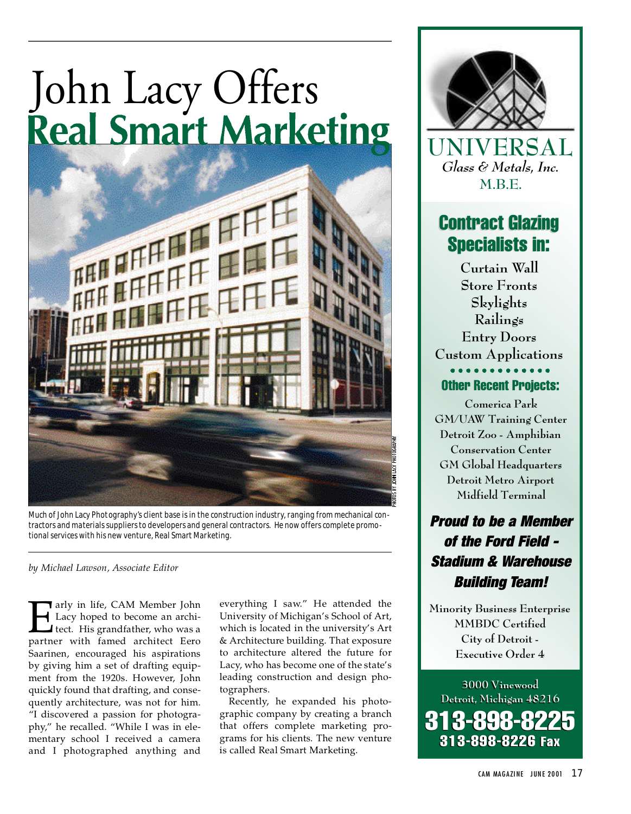# John Lacy Offers<br>Real Smart Marketing



Much of John Lacy Photography's client base is in the construction industry, ranging from mechanical contractors and materials suppliers to developers and general contractors. He now offers complete promotional services with his new venture, Real Smart Marketing.

*by Michael Lawson, Associate Editor*

The arly in life, CAM Member John<br>Lacy hoped to become an architect. His grandfather, who was a<br>partner with famed architect Eero Tarly in life, CAM Member John Lacy hoped to become an archi-I tect. His grandfather, who was a Saarinen, encouraged his aspirations by giving him a set of drafting equipment from the 1920s. However, John quickly found that drafting, and consequently architecture, was not for him. "I discovered a passion for photography," he recalled. "While I was in elementary school I received a camera and I photographed anything and

everything I saw." He attended the University of Michigan's School of Art, which is located in the university's Art & Architecture building. That exposure to architecture altered the future for Lacy, who has become one of the state's leading construction and design photographers.

Recently, he expanded his photographic company by creating a branch that offers complete marketing programs for his clients. The new venture is called Real Smart Marketing.



**UNIVERSAL** *Glass & Metals, Inc.* **M.B.E.**

# Contract Glazing Contract Glazing Specialists in: Specialists in:

**Curtain Wall Store Fronts Skylights Railings Entry Doors Custom Applications** Other Recent Projects:

**Comerica Park GM/UAW Training Center Detroit Zoo - Amphibian Conservation Center GM Global Headquarters Detroit Metro Airport Midfield Terminal**

# *Proud to be a Member of the Ford Field - Stadium & Warehouse Building Team!*

**Minority Business Enterprise MMBDC Certified City of Detroit - Executive Order 4**

**3000 Vinewood 3000 Vinewood Detroit, Michigan 48216 Detroit, Michigan 48216** 313-898-8225 313-898-8226 Fax 313-898-8225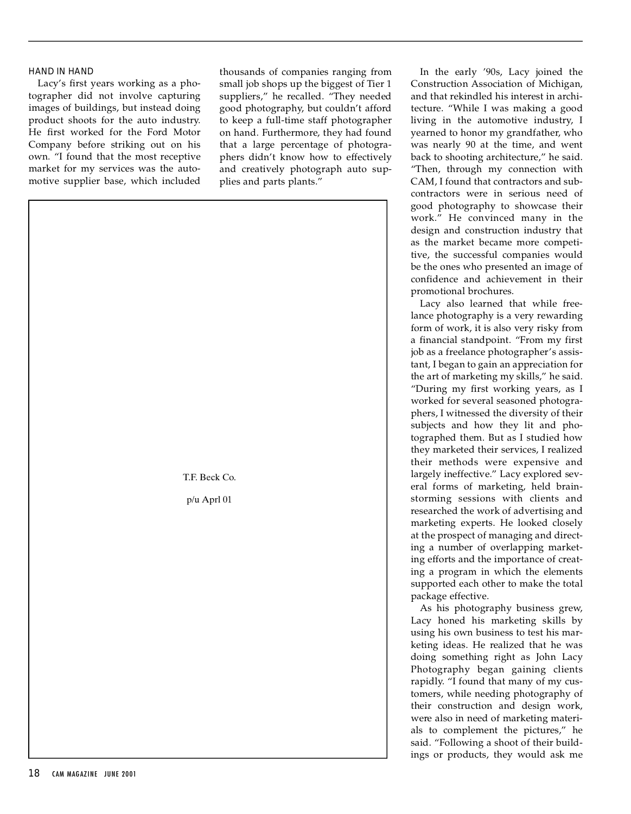### HAND IN HAND

Lacy's first years working as a photographer did not involve capturing images of buildings, but instead doing p roduct shoots for the auto industry. He first worked for the Ford Motor Company before striking out on his own. "I found that the most receptive market for my services was the automotive supplier base, which included thousands of companies ranging from small job shops up the biggest of Tier 1 suppliers," he recalled. "They needed good photography, but couldn't afford to keep a full-time staff photographer on hand. Furthermore, they had found that a large percentage of photographers didn't know how to effectively and creatively photograph auto supplies and parts plants."

T.F. Beck Co.

p/u Aprl 01

In the early '90s, Lacy joined the Construction Association of Michigan, and that rekindled his interest in architecture. "While I was making a good living in the automotive industry, I yearned to honor my grandfather, who was nearly 90 at the time, and went back to shooting architecture," he said. "Then, through my connection with CAM, I found that contractors and subcontractors were in serious need of good photography to showcase their work." He convinced many in the design and construction industry that as the market became more competitive, the successful companies would be the ones who presented an image of confidence and achievement in their promotional brochures.

Lacy also learned that while freelance photography is a very rewarding form of work, it is also very risky from a financial standpoint. "From my first job as a freelance photographer's assistant, I began to gain an appreciation for the art of marketing my skills," he said. "During my first working years, as I worked for several seasoned photographers, I witnessed the diversity of their subjects and how they lit and photographed them. But as I studied how they marketed their services, I realized their methods were expensive and largely ineffective." Lacy explored several forms of marketing, held brainstorming sessions with clients and researched the work of advertising and marketing experts. He looked closely at the prospect of managing and directing a number of overlapping marketing efforts and the importance of creating a program in which the elements supported each other to make the total package effective.

As his photography business grew, Lacy honed his marketing skills by using his own business to test his marketing ideas. He realized that he was doing something right as John Lacy Photography began gaining clients rapidly. "I found that many of my customers, while needing photography of their construction and design work, were also in need of marketing materials to complement the pictures," he said. "Following a shoot of their buildings or products, they would ask me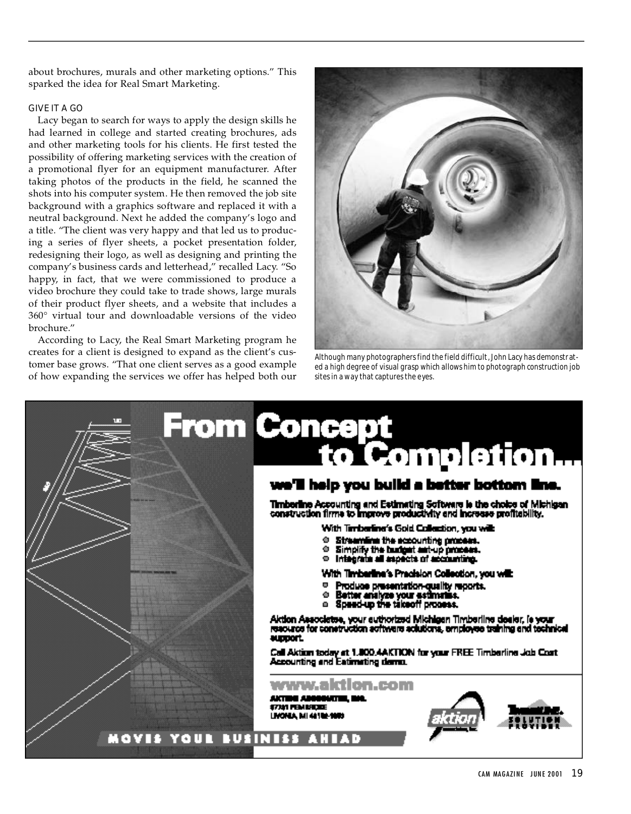about brochures, murals and other marketing options." This sparked the idea for Real Smart Marketing.

### GIVE IT A GO

Lacy began to search for ways to apply the design skills he had learned in college and started creating brochures, ads and other marketing tools for his clients. He first tested the possibility of offering marketing services with the creation of a promotional flyer for an equipment manufacturer. After taking photos of the products in the field, he scanned the shots into his computer system. He then removed the job site background with a graphics software and replaced it with a neutral background. Next he added the company's logo and a title. "The client was very happy and that led us to producing a series of flyer sheets, a pocket presentation folder, redesigning their logo, as well as designing and printing the company's business cards and letterhead," recalled Lacy. "So happy, in fact, that we were commissioned to produce a video brochure they could take to trade shows, large murals of their product flyer sheets, and a website that includes a 360° virtual tour and downloadable versions of the video brochure."

According to Lacy, the Real Smart Marketing program he creates for a client is designed to expand as the client's customer base grows. "That one client serves as a good example of how expanding the services we offer has helped both our



Although many photographers find the field difficult, John Lacy has demonstrated a high degree of visual grasp which allows him to photograph construction job sites in a way that captures the eyes.

## **rom Concept** <u>to Completion.</u> we'll help you build a better bottom line. **Timberline Accounting and Estimating Software is the choice of Michigan** construction firms to improve productivity and increase profitability. With Timbarline's Gold Collection, you wilk <sup>®</sup> Streamline the ecounting process. O Simplify the budget est-up process. With Timberline's Pracision Collection, you will:  $\blacksquare$ Produce presentation-quality reports. <sup>o</sup> Better analyze your estimates.<br>
a Speed-up the takeoff process. Aktion Associates, your authorized Michigan Timberline desier, is your resource for construction activers actualcris, employee training and technical aupport. Call Aktion today at 1.000.4AKTION for your FREE Timberline Job Cost Accounting and Eatimating demo. www.aktion.com AKTIBA ABBBB 17M FEMBER LMONUA, MI 481024 MOVIS YOUR BUSINESS AHI